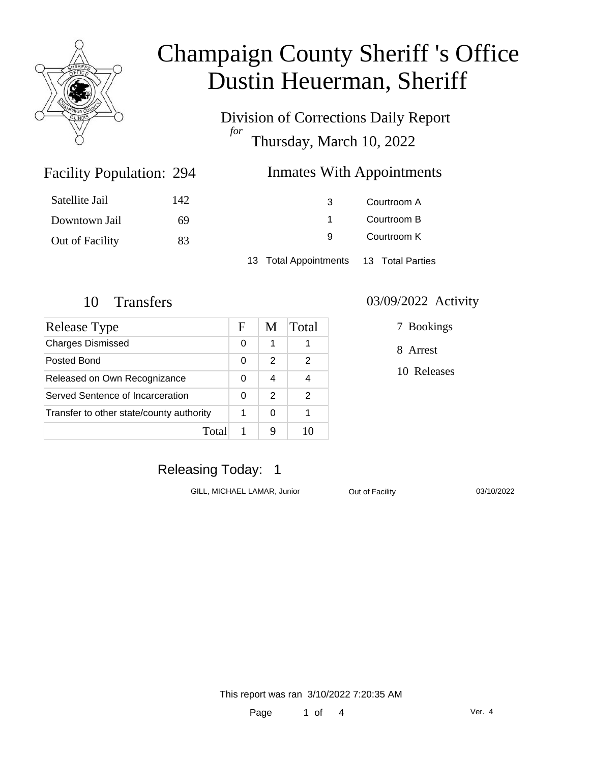

Division of Corrections Daily Report *for* Thursday, March 10, 2022

### Inmates With Appointments

| Satellite Jail  | 142 | 3                                      | Courtroom A |  |
|-----------------|-----|----------------------------------------|-------------|--|
| Downtown Jail   | 69  |                                        | Courtroom B |  |
| Out of Facility | 83  | 9                                      | Courtroom K |  |
|                 |     | 13 Total Appointments 13 Total Parties |             |  |

Facility Population: 294

| Release Type                             | F | M | Total |
|------------------------------------------|---|---|-------|
| <b>Charges Dismissed</b>                 | 0 | 1 |       |
| Posted Bond                              | 0 | 2 | 2     |
| Released on Own Recognizance             |   | 4 |       |
| Served Sentence of Incarceration         |   | 2 | 2     |
| Transfer to other state/county authority |   | 0 |       |
| Total                                    |   |   |       |

#### 10 Transfers 03/09/2022 Activity

7 Bookings

8 Arrest

10 Releases

## Releasing Today: 1

GILL, MICHAEL LAMAR, Junior **Out of Facility** 03/10/2022

This report was ran 3/10/2022 7:20:35 AM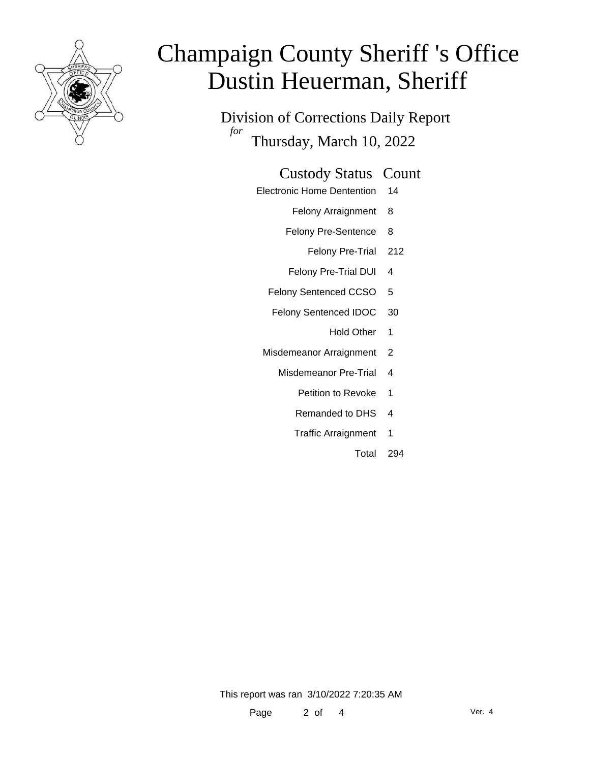

Division of Corrections Daily Report *for* Thursday, March 10, 2022

### Custody Status Count

- Electronic Home Dentention 14
	- Felony Arraignment 8
	- Felony Pre-Sentence 8
		- Felony Pre-Trial 212
	- Felony Pre-Trial DUI 4
	- Felony Sentenced CCSO 5
	- Felony Sentenced IDOC 30
		- Hold Other 1
	- Misdemeanor Arraignment 2
		- Misdemeanor Pre-Trial 4
			- Petition to Revoke 1
			- Remanded to DHS 4
			- Traffic Arraignment 1
				- Total 294

This report was ran 3/10/2022 7:20:35 AM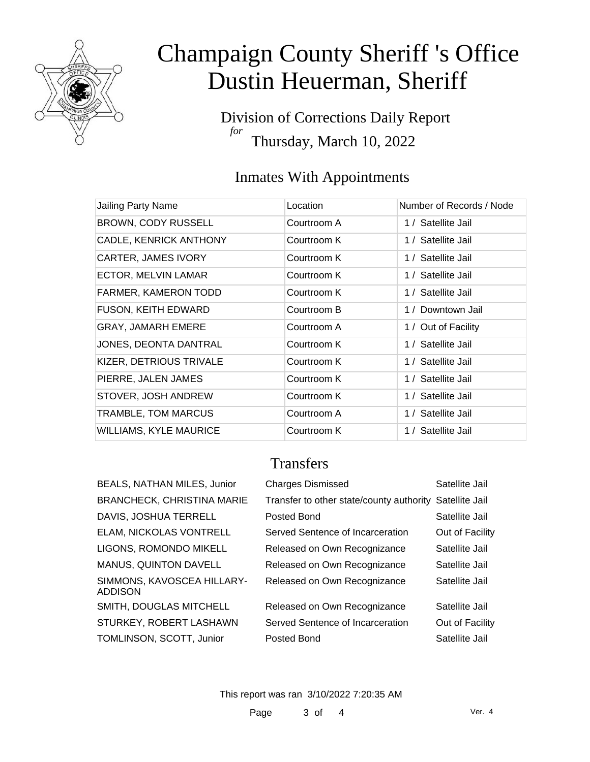

Division of Corrections Daily Report *for* Thursday, March 10, 2022

## Inmates With Appointments

| Jailing Party Name            | Location    | Number of Records / Node |
|-------------------------------|-------------|--------------------------|
| <b>BROWN, CODY RUSSELL</b>    | Courtroom A | 1 / Satellite Jail       |
| CADLE, KENRICK ANTHONY        | Courtroom K | 1 / Satellite Jail       |
| <b>CARTER, JAMES IVORY</b>    | Courtroom K | 1 / Satellite Jail       |
| ECTOR, MELVIN LAMAR           | Courtroom K | 1 / Satellite Jail       |
| FARMER, KAMERON TODD          | Courtroom K | 1 / Satellite Jail       |
| <b>FUSON, KEITH EDWARD</b>    | Courtroom B | 1 / Downtown Jail        |
| <b>GRAY, JAMARH EMERE</b>     | Courtroom A | 1 / Out of Facility      |
| JONES, DEONTA DANTRAL         | Courtroom K | 1 / Satellite Jail       |
| KIZER, DETRIOUS TRIVALE       | Courtroom K | 1 / Satellite Jail       |
| PIERRE, JALEN JAMES           | Courtroom K | 1 / Satellite Jail       |
| STOVER, JOSH ANDREW           | Courtroom K | 1 / Satellite Jail       |
| TRAMBLE, TOM MARCUS           | Courtroom A | 1 / Satellite Jail       |
| <b>WILLIAMS, KYLE MAURICE</b> | Courtroom K | 1 / Satellite Jail       |

## **Transfers**

| BEALS, NATHAN MILES, Junior                  | <b>Charges Dismissed</b>                                | Satellite Jail  |
|----------------------------------------------|---------------------------------------------------------|-----------------|
| <b>BRANCHECK, CHRISTINA MARIE</b>            | Transfer to other state/county authority Satellite Jail |                 |
| DAVIS, JOSHUA TERRELL                        | Posted Bond                                             | Satellite Jail  |
| ELAM, NICKOLAS VONTRELL                      | Served Sentence of Incarceration                        | Out of Facility |
| LIGONS, ROMONDO MIKELL                       | Released on Own Recognizance                            | Satellite Jail  |
| <b>MANUS, QUINTON DAVELL</b>                 | Released on Own Recognizance                            | Satellite Jail  |
| SIMMONS, KAVOSCEA HILLARY-<br><b>ADDISON</b> | Released on Own Recognizance                            | Satellite Jail  |
| SMITH, DOUGLAS MITCHELL                      | Released on Own Recognizance                            | Satellite Jail  |
| STURKEY, ROBERT LASHAWN                      | Served Sentence of Incarceration                        | Out of Facility |
| TOMLINSON, SCOTT, Junior                     | Posted Bond                                             | Satellite Jail  |
|                                              |                                                         |                 |